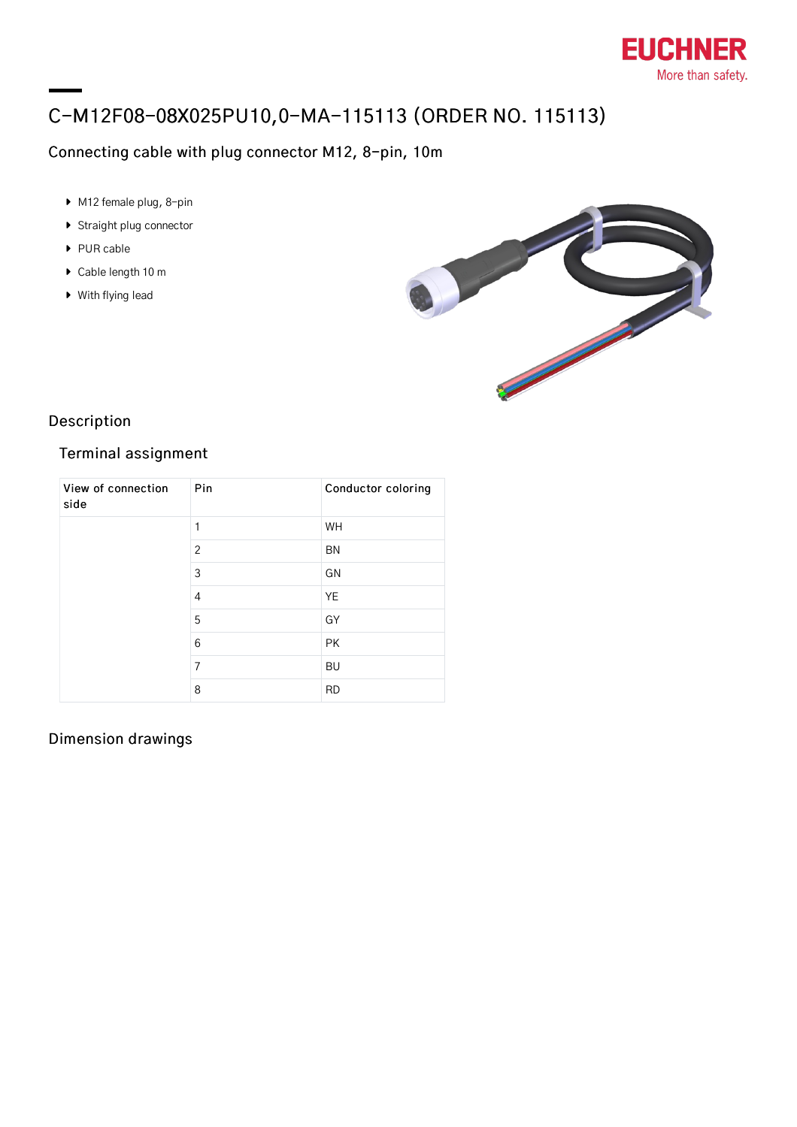

# C-M12F08-08X025PU10,0-MA-115113 (ORDER NO. 115113)

# Connecting cable with plug connector M12, 8-pin, 10m

- ▶ M12 female plug, 8-pin
- **Straight plug connector**
- ▶ PUR cable
- ▶ Cable length 10 m
- With flying lead



### Description

## Terminal assignment

| View of connection<br>side | Pin            | Conductor coloring |
|----------------------------|----------------|--------------------|
|                            | 1              | <b>WH</b>          |
|                            | $\overline{2}$ | <b>BN</b>          |
|                            | 3              | GN                 |
|                            | $\overline{4}$ | <b>YE</b>          |
|                            | 5              | GY                 |
|                            | 6              | <b>PK</b>          |
|                            | 7              | BU                 |
|                            | 8              | <b>RD</b>          |

### Dimension drawings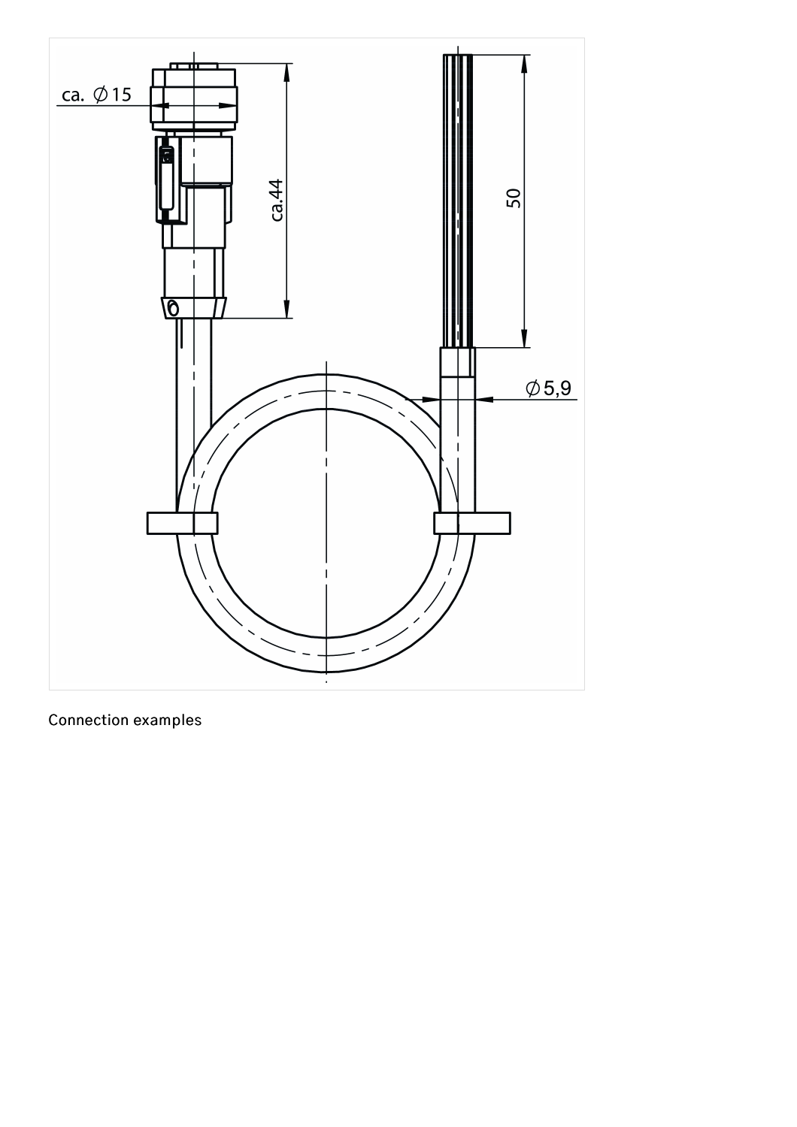

# Connection examples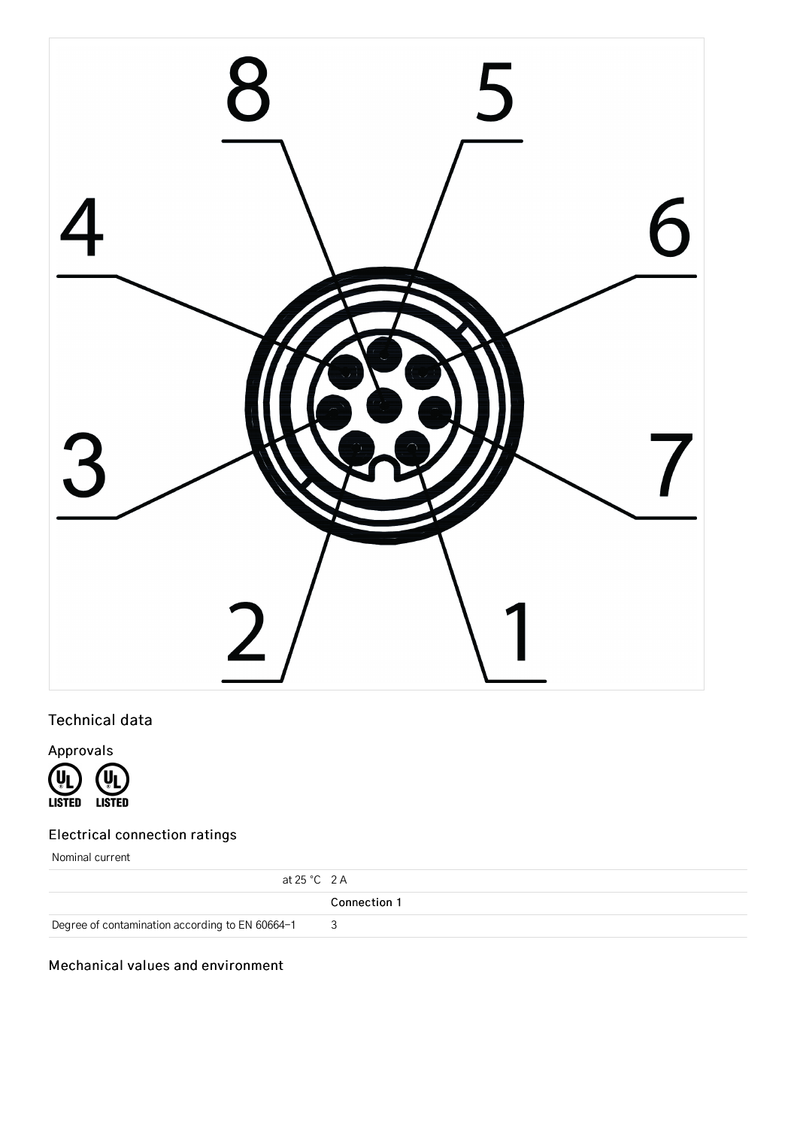

# Technical data

Approvals



### Electrical connection ratings

Nominal current

| at 25 °C 2 A                                    |              |
|-------------------------------------------------|--------------|
|                                                 | Connection 1 |
| Degree of contamination according to EN 60664-1 | -3           |

#### Mechanical values and environment